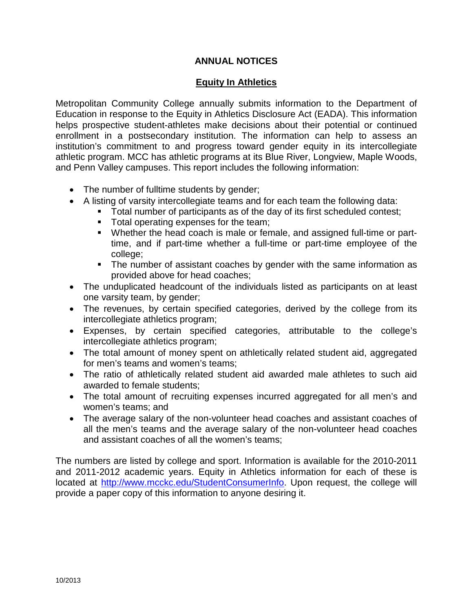## **ANNUAL NOTICES**

### **Equity In Athletics**

Metropolitan Community College annually submits information to the Department of Education in response to the Equity in Athletics Disclosure Act (EADA). This information helps prospective student-athletes make decisions about their potential or continued enrollment in a postsecondary institution. The information can help to assess an institution's commitment to and progress toward gender equity in its intercollegiate athletic program. MCC has athletic programs at its Blue River, Longview, Maple Woods, and Penn Valley campuses. This report includes the following information:

- The number of fulltime students by gender;
- A listing of varsity intercollegiate teams and for each team the following data:
	- **Total number of participants as of the day of its first scheduled contest;**
	- Total operating expenses for the team:
	- Whether the head coach is male or female, and assigned full-time or parttime, and if part-time whether a full-time or part-time employee of the college;
	- The number of assistant coaches by gender with the same information as provided above for head coaches;
- The unduplicated headcount of the individuals listed as participants on at least one varsity team, by gender;
- The revenues, by certain specified categories, derived by the college from its intercollegiate athletics program;
- Expenses, by certain specified categories, attributable to the college's intercollegiate athletics program;
- The total amount of money spent on athletically related student aid, aggregated for men's teams and women's teams;
- The ratio of athletically related student aid awarded male athletes to such aid awarded to female students;
- The total amount of recruiting expenses incurred aggregated for all men's and women's teams; and
- The average salary of the non-volunteer head coaches and assistant coaches of all the men's teams and the average salary of the non-volunteer head coaches and assistant coaches of all the women's teams;

The numbers are listed by college and sport. Information is available for the 2010-2011 and 2011-2012 academic years. Equity in Athletics information for each of these is located at [http://www.mcckc.edu/StudentConsumerInfo.](http://www.mcckc.edu/StudentConsumerInfo) Upon request, the college will provide a paper copy of this information to anyone desiring it.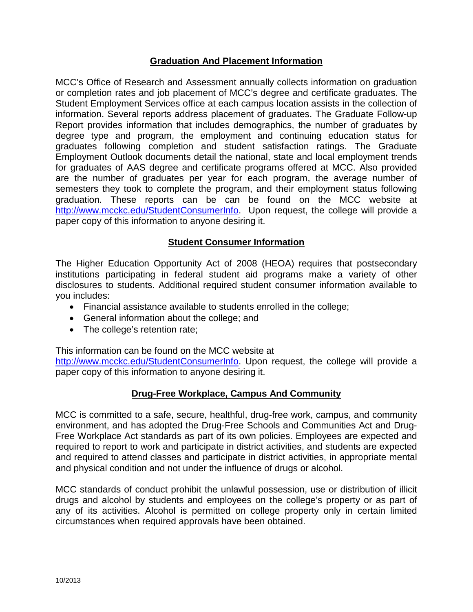### **Graduation And Placement Information**

MCC's Office of Research and Assessment annually collects information on graduation or completion rates and job placement of MCC's degree and certificate graduates. The Student Employment Services office at each campus location assists in the collection of information. Several reports address placement of graduates. The Graduate Follow-up Report provides information that includes demographics, the number of graduates by degree type and program, the employment and continuing education status for graduates following completion and student satisfaction ratings. The Graduate Employment Outlook documents detail the national, state and local employment trends for graduates of AAS degree and certificate programs offered at MCC. Also provided are the number of graduates per year for each program, the average number of semesters they took to complete the program, and their employment status following graduation. These reports can be can be found on the MCC website at [http://www.mcckc.edu/StudentConsumerInfo.](http://www.mcckc.edu/StudentConsumerInfou) Upon request, the college will provide a paper copy of this information to anyone desiring it.

## **Student Consumer Information**

The Higher Education Opportunity Act of 2008 (HEOA) requires that postsecondary institutions participating in federal student aid programs make a variety of other disclosures to students. Additional required student consumer information available to you includes:

- Financial assistance available to students enrolled in the college;
- General information about the college; and
- The college's retention rate;

This information can be found on the MCC website at

[http://www.mcckc.edu/StudentConsumerInfo.](http://www.mcckc.edu/StudentConsumerInfo) Upon request, the college will provide a paper copy of this information to anyone desiring it.

### **Drug-Free Workplace, Campus And Community**

MCC is committed to a safe, secure, healthful, drug-free work, campus, and community environment, and has adopted the Drug-Free Schools and Communities Act and Drug-Free Workplace Act standards as part of its own policies. Employees are expected and required to report to work and participate in district activities, and students are expected and required to attend classes and participate in district activities, in appropriate mental and physical condition and not under the influence of drugs or alcohol.

MCC standards of conduct prohibit the unlawful possession, use or distribution of illicit drugs and alcohol by students and employees on the college's property or as part of any of its activities. Alcohol is permitted on college property only in certain limited circumstances when required approvals have been obtained.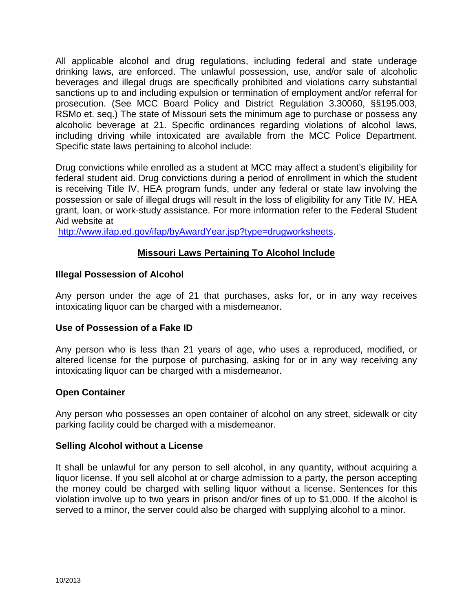All applicable alcohol and drug regulations, including federal and state underage drinking laws, are enforced. The unlawful possession, use, and/or sale of alcoholic beverages and illegal drugs are specifically prohibited and violations carry substantial sanctions up to and including expulsion or termination of employment and/or referral for prosecution. (See MCC Board Policy and District Regulation 3.30060, §§195.003, RSMo et. seq.) The state of Missouri sets the minimum age to purchase or possess any alcoholic beverage at 21. Specific ordinances regarding violations of alcohol laws, including driving while intoxicated are available from the MCC Police Department. Specific state laws pertaining to alcohol include:

Drug convictions while enrolled as a student at MCC may affect a student's eligibility for federal student aid. Drug convictions during a period of enrollment in which the student is receiving Title IV, HEA program funds, under any federal or state law involving the possession or sale of illegal drugs will result in the loss of eligibility for any Title IV, HEA grant, loan, or work-study assistance. For more information refer to the Federal Student Aid website at

[http://www.ifap.ed.gov/ifap/byAwardYear.jsp?type=drugworksheets.](http://www.ifap.ed.gov/ifap/byAwardYear.jsp?type=drugworksheets)

## **Missouri Laws Pertaining To Alcohol Include**

## **Illegal Possession of Alcohol**

Any person under the age of 21 that purchases, asks for, or in any way receives intoxicating liquor can be charged with a misdemeanor.

### **Use of Possession of a Fake ID**

Any person who is less than 21 years of age, who uses a reproduced, modified, or altered license for the purpose of purchasing, asking for or in any way receiving any intoxicating liquor can be charged with a misdemeanor.

### **Open Container**

Any person who possesses an open container of alcohol on any street, sidewalk or city parking facility could be charged with a misdemeanor.

### **Selling Alcohol without a License**

It shall be unlawful for any person to sell alcohol, in any quantity, without acquiring a liquor license. If you sell alcohol at or charge admission to a party, the person accepting the money could be charged with selling liquor without a license. Sentences for this violation involve up to two years in prison and/or fines of up to \$1,000. If the alcohol is served to a minor, the server could also be charged with supplying alcohol to a minor.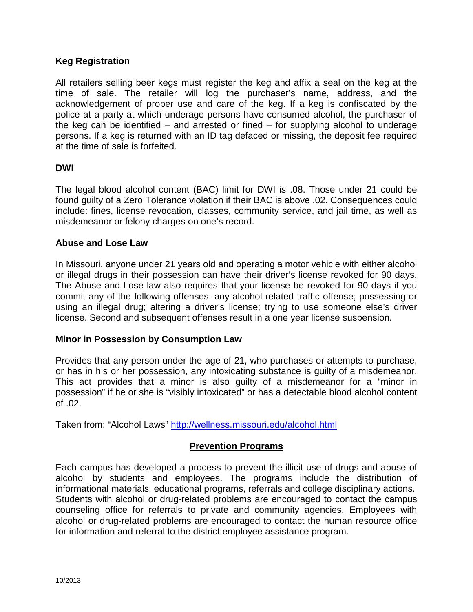### **Keg Registration**

All retailers selling beer kegs must register the keg and affix a seal on the keg at the time of sale. The retailer will log the purchaser's name, address, and the acknowledgement of proper use and care of the keg. If a keg is confiscated by the police at a party at which underage persons have consumed alcohol, the purchaser of the keg can be identified – and arrested or fined – for supplying alcohol to underage persons. If a keg is returned with an ID tag defaced or missing, the deposit fee required at the time of sale is forfeited.

### **DWI**

The legal blood alcohol content (BAC) limit for DWI is .08. Those under 21 could be found guilty of a Zero Tolerance violation if their BAC is above .02. Consequences could include: fines, license revocation, classes, community service, and jail time, as well as misdemeanor or felony charges on one's record.

#### **Abuse and Lose Law**

In Missouri, anyone under 21 years old and operating a motor vehicle with either alcohol or illegal drugs in their possession can have their driver's license revoked for 90 days. The Abuse and Lose law also requires that your license be revoked for 90 days if you commit any of the following offenses: any alcohol related traffic offense; possessing or using an illegal drug; altering a driver's license; trying to use someone else's driver license. Second and subsequent offenses result in a one year license suspension.

### **Minor in Possession by Consumption Law**

Provides that any person under the age of 21, who purchases or attempts to purchase, or has in his or her possession, any intoxicating substance is guilty of a misdemeanor. This act provides that a minor is also guilty of a misdemeanor for a "minor in possession" if he or she is "visibly intoxicated" or has a detectable blood alcohol content of  $.02<sub>1</sub>$ 

Taken from: "Alcohol Laws" <http://wellness.missouri.edu/alcohol.html>

# **Prevention Programs**

Each campus has developed a process to prevent the illicit use of drugs and abuse of alcohol by students and employees. The programs include the distribution of informational materials, educational programs, referrals and college disciplinary actions. Students with alcohol or drug-related problems are encouraged to contact the campus counseling office for referrals to private and community agencies. Employees with alcohol or drug-related problems are encouraged to contact the human resource office for information and referral to the district employee assistance program.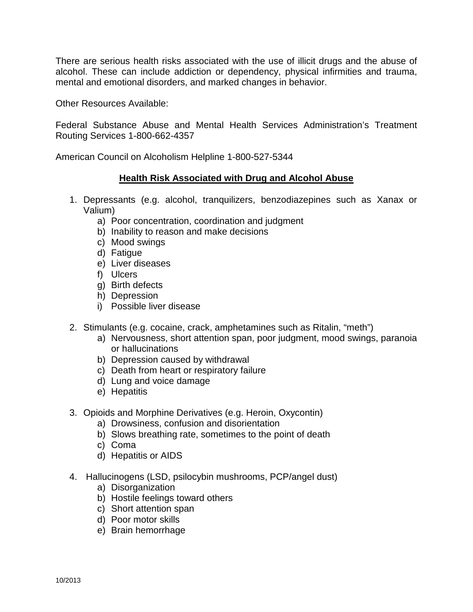There are serious health risks associated with the use of illicit drugs and the abuse of alcohol. These can include addiction or dependency, physical infirmities and trauma, mental and emotional disorders, and marked changes in behavior.

Other Resources Available:

Federal Substance Abuse and Mental Health Services Administration's Treatment Routing Services 1-800-662-4357

American Council on Alcoholism Helpline 1-800-527-5344

### **Health Risk Associated with Drug and Alcohol Abuse**

- 1. Depressants (e.g. alcohol, tranquilizers, benzodiazepines such as Xanax or Valium)
	- a) Poor concentration, coordination and judgment
	- b) Inability to reason and make decisions
	- c) Mood swings
	- d) Fatigue
	- e) Liver diseases
	- f) Ulcers
	- g) Birth defects
	- h) Depression
	- i) Possible liver disease
- 2. Stimulants (e.g. cocaine, crack, amphetamines such as Ritalin, "meth")
	- a) Nervousness, short attention span, poor judgment, mood swings, paranoia or hallucinations
	- b) Depression caused by withdrawal
	- c) Death from heart or respiratory failure
	- d) Lung and voice damage
	- e) Hepatitis
- 3. Opioids and Morphine Derivatives (e.g. Heroin, Oxycontin)
	- a) Drowsiness, confusion and disorientation
	- b) Slows breathing rate, sometimes to the point of death
	- c) Coma
	- d) Hepatitis or AIDS
- 4. Hallucinogens (LSD, psilocybin mushrooms, PCP/angel dust)
	- a) Disorganization
	- b) Hostile feelings toward others
	- c) Short attention span
	- d) Poor motor skills
	- e) Brain hemorrhage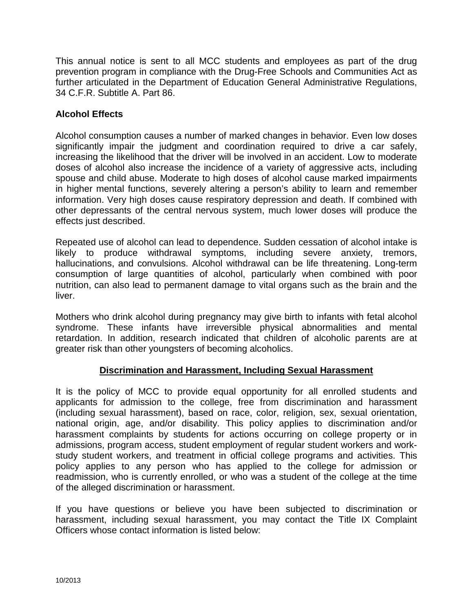This annual notice is sent to all MCC students and employees as part of the drug prevention program in compliance with the Drug-Free Schools and Communities Act as further articulated in the Department of Education General Administrative Regulations, 34 C.F.R. Subtitle A. Part 86.

## **Alcohol Effects**

Alcohol consumption causes a number of marked changes in behavior. Even low doses significantly impair the judgment and coordination required to drive a car safely, increasing the likelihood that the driver will be involved in an accident. Low to moderate doses of alcohol also increase the incidence of a variety of aggressive acts, including spouse and child abuse. Moderate to high doses of alcohol cause marked impairments in higher mental functions, severely altering a person's ability to learn and remember information. Very high doses cause respiratory depression and death. If combined with other depressants of the central nervous system, much lower doses will produce the effects just described.

Repeated use of alcohol can lead to dependence. Sudden cessation of alcohol intake is likely to produce withdrawal symptoms, including severe anxiety, tremors, hallucinations, and convulsions. Alcohol withdrawal can be life threatening. Long-term consumption of large quantities of alcohol, particularly when combined with poor nutrition, can also lead to permanent damage to vital organs such as the brain and the liver.

Mothers who drink alcohol during pregnancy may give birth to infants with fetal alcohol syndrome. These infants have irreversible physical abnormalities and mental retardation. In addition, research indicated that children of alcoholic parents are at greater risk than other youngsters of becoming alcoholics.

# **Discrimination and Harassment, Including Sexual Harassment**

It is the policy of MCC to provide equal opportunity for all enrolled students and applicants for admission to the college, free from discrimination and harassment (including sexual harassment), based on race, color, religion, sex, sexual orientation, national origin, age, and/or disability. This policy applies to discrimination and/or harassment complaints by students for actions occurring on college property or in admissions, program access, student employment of regular student workers and workstudy student workers, and treatment in official college programs and activities. This policy applies to any person who has applied to the college for admission or readmission, who is currently enrolled, or who was a student of the college at the time of the alleged discrimination or harassment.

If you have questions or believe you have been subjected to discrimination or harassment, including sexual harassment, you may contact the Title IX Complaint Officers whose contact information is listed below: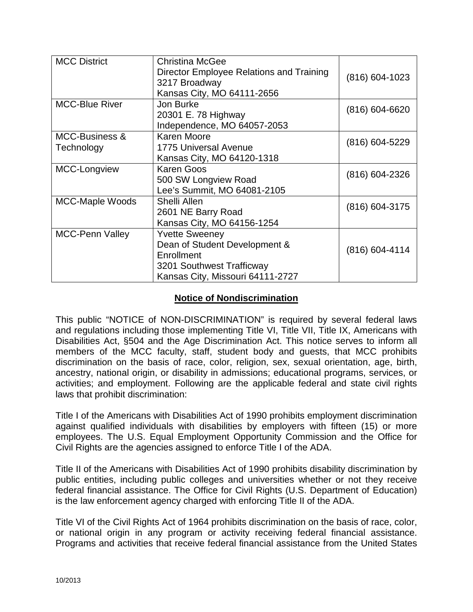| <b>MCC District</b>                     | <b>Christina McGee</b><br>Director Employee Relations and Training<br>3217 Broadway<br>Kansas City, MO 64111-2656                     | $(816) 604 - 1023$ |
|-----------------------------------------|---------------------------------------------------------------------------------------------------------------------------------------|--------------------|
| <b>MCC-Blue River</b>                   | Jon Burke<br>20301 E. 78 Highway<br>Independence, MO 64057-2053                                                                       | $(816) 604 - 6620$ |
| <b>MCC-Business &amp;</b><br>Technology | Karen Moore<br><b>1775 Universal Avenue</b><br>Kansas City, MO 64120-1318                                                             | (816) 604-5229     |
| MCC-Longview                            | <b>Karen Goos</b><br>500 SW Longview Road<br>Lee's Summit, MO 64081-2105                                                              | (816) 604-2326     |
| <b>MCC-Maple Woods</b>                  | Shelli Allen<br>2601 NE Barry Road<br>Kansas City, MO 64156-1254                                                                      | (816) 604-3175     |
| <b>MCC-Penn Valley</b>                  | <b>Yvette Sweeney</b><br>Dean of Student Development &<br>Enrollment<br>3201 Southwest Trafficway<br>Kansas City, Missouri 64111-2727 | (816) 604-4114     |

### **Notice of Nondiscrimination**

This public "NOTICE of NON-DISCRIMINATION" is required by several federal laws and regulations including those implementing Title VI, Title VII, Title IX, Americans with Disabilities Act, §504 and the Age Discrimination Act. This notice serves to inform all members of the MCC faculty, staff, student body and guests, that MCC prohibits discrimination on the basis of race, color, religion, sex, sexual orientation, age, birth, ancestry, national origin, or disability in admissions; educational programs, services, or activities; and employment. Following are the applicable federal and state civil rights laws that prohibit discrimination:

Title I of the Americans with Disabilities Act of 1990 prohibits employment discrimination against qualified individuals with disabilities by employers with fifteen (15) or more employees. The U.S. Equal Employment Opportunity Commission and the Office for Civil Rights are the agencies assigned to enforce Title I of the ADA.

Title II of the Americans with Disabilities Act of 1990 prohibits disability discrimination by public entities, including public colleges and universities whether or not they receive federal financial assistance. The Office for Civil Rights (U.S. Department of Education) is the law enforcement agency charged with enforcing Title II of the ADA.

Title VI of the Civil Rights Act of 1964 prohibits discrimination on the basis of race, color, or national origin in any program or activity receiving federal financial assistance. Programs and activities that receive federal financial assistance from the United States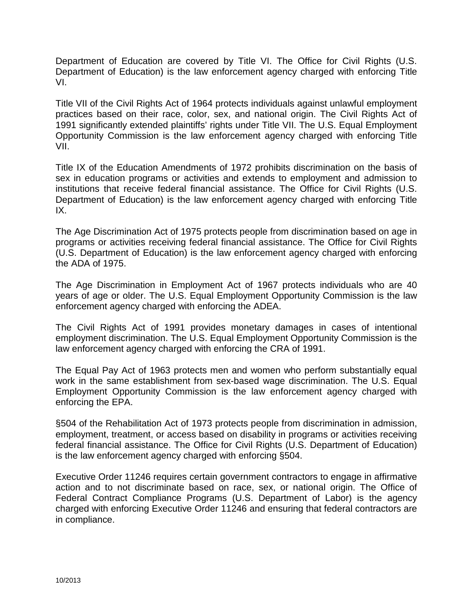Department of Education are covered by Title VI. The Office for Civil Rights (U.S. Department of Education) is the law enforcement agency charged with enforcing Title VI.

Title VII of the Civil Rights Act of 1964 protects individuals against unlawful employment practices based on their race, color, sex, and national origin. The Civil Rights Act of 1991 significantly extended plaintiffs' rights under Title VII. The U.S. Equal Employment Opportunity Commission is the law enforcement agency charged with enforcing Title VII.

Title IX of the Education Amendments of 1972 prohibits discrimination on the basis of sex in education programs or activities and extends to employment and admission to institutions that receive federal financial assistance. The Office for Civil Rights (U.S. Department of Education) is the law enforcement agency charged with enforcing Title IX.

The Age Discrimination Act of 1975 protects people from discrimination based on age in programs or activities receiving federal financial assistance. The Office for Civil Rights (U.S. Department of Education) is the law enforcement agency charged with enforcing the ADA of 1975.

The Age Discrimination in Employment Act of 1967 protects individuals who are 40 years of age or older. The U.S. Equal Employment Opportunity Commission is the law enforcement agency charged with enforcing the ADEA.

The Civil Rights Act of 1991 provides monetary damages in cases of intentional employment discrimination. The U.S. Equal Employment Opportunity Commission is the law enforcement agency charged with enforcing the CRA of 1991.

The Equal Pay Act of 1963 protects men and women who perform substantially equal work in the same establishment from sex-based wage discrimination. The U.S. Equal Employment Opportunity Commission is the law enforcement agency charged with enforcing the EPA.

§504 of the Rehabilitation Act of 1973 protects people from discrimination in admission, employment, treatment, or access based on disability in programs or activities receiving federal financial assistance. The Office for Civil Rights (U.S. Department of Education) is the law enforcement agency charged with enforcing §504.

Executive Order 11246 requires certain government contractors to engage in affirmative action and to not discriminate based on race, sex, or national origin. The Office of Federal Contract Compliance Programs (U.S. Department of Labor) is the agency charged with enforcing Executive Order 11246 and ensuring that federal contractors are in compliance.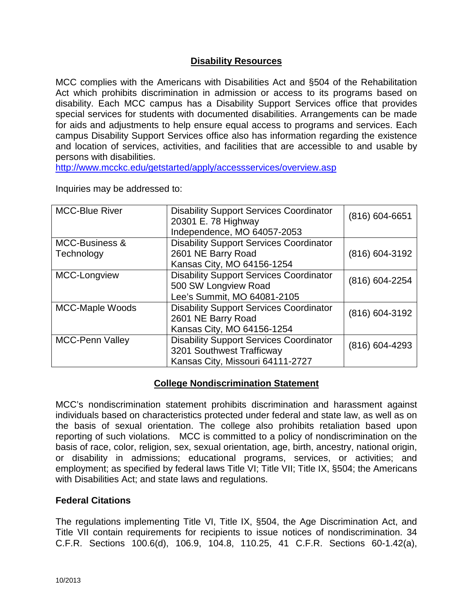## **Disability Resources**

MCC complies with the Americans with Disabilities Act and §504 of the Rehabilitation Act which prohibits discrimination in admission or access to its programs based on disability. Each MCC campus has a Disability Support Services office that provides special services for students with documented disabilities. Arrangements can be made for aids and adjustments to help ensure equal access to programs and services. Each campus Disability Support Services office also has information regarding the existence and location of services, activities, and facilities that are accessible to and usable by persons with disabilities.

<http://www.mcckc.edu/getstarted/apply/accessservices/overview.asp>

| <b>MCC-Blue River</b>                   | <b>Disability Support Services Coordinator</b><br>20301 E. 78 Highway<br>Independence, MO 64057-2053            | $(816) 604 - 6651$ |
|-----------------------------------------|-----------------------------------------------------------------------------------------------------------------|--------------------|
| <b>MCC-Business &amp;</b><br>Technology | <b>Disability Support Services Coordinator</b><br>2601 NE Barry Road<br>Kansas City, MO 64156-1254              | (816) 604-3192     |
| MCC-Longview                            | <b>Disability Support Services Coordinator</b><br>500 SW Longview Road<br>Lee's Summit, MO 64081-2105           | (816) 604-2254     |
| <b>MCC-Maple Woods</b>                  | <b>Disability Support Services Coordinator</b><br>2601 NE Barry Road<br>Kansas City, MO 64156-1254              | (816) 604-3192     |
| <b>MCC-Penn Valley</b>                  | <b>Disability Support Services Coordinator</b><br>3201 Southwest Trafficway<br>Kansas City, Missouri 64111-2727 | (816) 604-4293     |

Inquiries may be addressed to:

### **College Nondiscrimination Statement**

MCC's nondiscrimination statement prohibits discrimination and harassment against individuals based on characteristics protected under federal and state law, as well as on the basis of sexual orientation. The college also prohibits retaliation based upon reporting of such violations. MCC is committed to a policy of nondiscrimination on the basis of race, color, religion, sex, sexual orientation, age, birth, ancestry, national origin, or disability in admissions; educational programs, services, or activities; and employment; as specified by federal laws Title VI; Title VII; Title IX, §504; the Americans with Disabilities Act; and state laws and regulations.

### **Federal Citations**

The regulations implementing Title VI, Title IX, §504, the Age Discrimination Act, and Title VII contain requirements for recipients to issue notices of nondiscrimination. 34 C.F.R. Sections 100.6(d), 106.9, 104.8, 110.25, 41 C.F.R. Sections 60-1.42(a),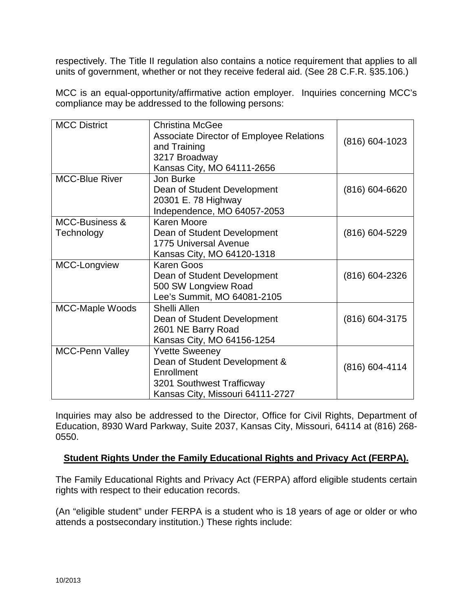respectively. The Title II regulation also contains a notice requirement that applies to all units of government, whether or not they receive federal aid. (See 28 C.F.R. §35.106.)

MCC is an equal-opportunity/affirmative action employer. Inquiries concerning MCC's compliance may be addressed to the following persons:

| <b>MCC District</b>                     | <b>Christina McGee</b><br><b>Associate Director of Employee Relations</b><br>and Training<br>3217 Broadway<br>Kansas City, MO 64111-2656 | $(816) 604 - 1023$ |
|-----------------------------------------|------------------------------------------------------------------------------------------------------------------------------------------|--------------------|
| <b>MCC-Blue River</b>                   | Jon Burke<br>Dean of Student Development<br>20301 E. 78 Highway<br>Independence, MO 64057-2053                                           | $(816) 604 - 6620$ |
| <b>MCC-Business &amp;</b><br>Technology | <b>Karen Moore</b><br>Dean of Student Development<br><b>1775 Universal Avenue</b><br>Kansas City, MO 64120-1318                          | $(816) 604 - 5229$ |
| MCC-Longview                            | <b>Karen Goos</b><br>Dean of Student Development<br>500 SW Longview Road<br>Lee's Summit, MO 64081-2105                                  | (816) 604-2326     |
| MCC-Maple Woods                         | Shelli Allen<br>Dean of Student Development<br>2601 NE Barry Road<br>Kansas City, MO 64156-1254                                          | (816) 604-3175     |
| <b>MCC-Penn Valley</b>                  | <b>Yvette Sweeney</b><br>Dean of Student Development &<br>Enrollment<br>3201 Southwest Trafficway<br>Kansas City, Missouri 64111-2727    | (816) 604-4114     |

Inquiries may also be addressed to the Director, Office for Civil Rights, Department of Education, 8930 Ward Parkway, Suite 2037, Kansas City, Missouri, 64114 at (816) 268- 0550.

#### **Student Rights Under the Family Educational Rights and Privacy Act (FERPA).**

The Family Educational Rights and Privacy Act (FERPA) afford eligible students certain rights with respect to their education records.

(An "eligible student" under FERPA is a student who is 18 years of age or older or who attends a postsecondary institution.) These rights include: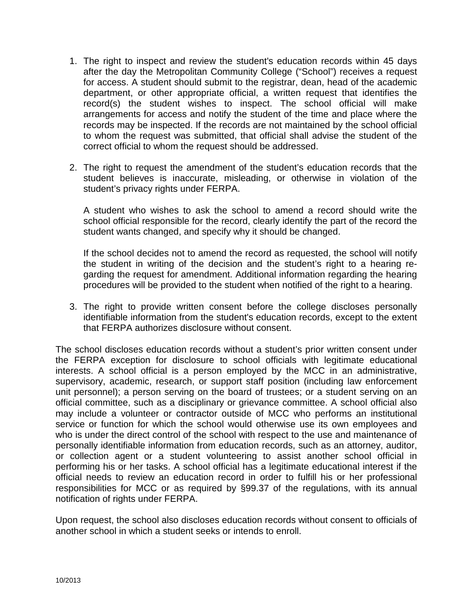- 1. The right to inspect and review the student's education records within 45 days after the day the Metropolitan Community College ("School") receives a request for access. A student should submit to the registrar, dean, head of the academic department, or other appropriate official, a written request that identifies the record(s) the student wishes to inspect. The school official will make arrangements for access and notify the student of the time and place where the records may be inspected. If the records are not maintained by the school official to whom the request was submitted, that official shall advise the student of the correct official to whom the request should be addressed.
- 2. The right to request the amendment of the student's education records that the student believes is inaccurate, misleading, or otherwise in violation of the student's privacy rights under FERPA.

A student who wishes to ask the school to amend a record should write the school official responsible for the record, clearly identify the part of the record the student wants changed, and specify why it should be changed.

If the school decides not to amend the record as requested, the school will notify the student in writing of the decision and the student's right to a hearing regarding the request for amendment. Additional information regarding the hearing procedures will be provided to the student when notified of the right to a hearing.

3. The right to provide written consent before the college discloses personally identifiable information from the student's education records, except to the extent that FERPA authorizes disclosure without consent.

The school discloses education records without a student's prior written consent under the FERPA exception for disclosure to school officials with legitimate educational interests. A school official is a person employed by the MCC in an administrative, supervisory, academic, research, or support staff position (including law enforcement unit personnel); a person serving on the board of trustees; or a student serving on an official committee, such as a disciplinary or grievance committee. A school official also may include a volunteer or contractor outside of MCC who performs an institutional service or function for which the school would otherwise use its own employees and who is under the direct control of the school with respect to the use and maintenance of personally identifiable information from education records, such as an attorney, auditor, or collection agent or a student volunteering to assist another school official in performing his or her tasks. A school official has a legitimate educational interest if the official needs to review an education record in order to fulfill his or her professional responsibilities for MCC or as required by §99.37 of the regulations, with its annual notification of rights under FERPA.

Upon request, the school also discloses education records without consent to officials of another school in which a student seeks or intends to enroll.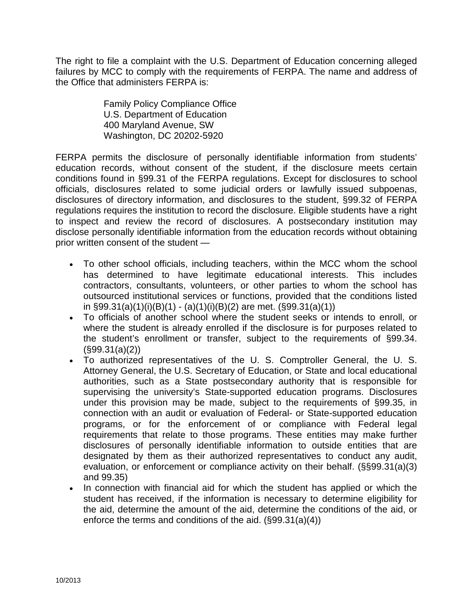The right to file a complaint with the U.S. Department of Education concerning alleged failures by MCC to comply with the requirements of FERPA. The name and address of the Office that administers FERPA is:

> Family Policy Compliance Office U.S. Department of Education 400 Maryland Avenue, SW Washington, DC 20202-5920

FERPA permits the disclosure of personally identifiable information from students' education records, without consent of the student, if the disclosure meets certain conditions found in §99.31 of the FERPA regulations. Except for disclosures to school officials, disclosures related to some judicial orders or lawfully issued subpoenas, disclosures of directory information, and disclosures to the student, §99.32 of FERPA regulations requires the institution to record the disclosure. Eligible students have a right to inspect and review the record of disclosures. A postsecondary institution may disclose personally identifiable information from the education records without obtaining prior written consent of the student —

- To other school officials, including teachers, within the MCC whom the school has determined to have legitimate educational interests. This includes contractors, consultants, volunteers, or other parties to whom the school has outsourced institutional services or functions, provided that the conditions listed in  $\S 99.31(a)(1)(i)(B)(1) - (a)(1)(i)(B)(2)$  are met. ( $\S 99.31(a)(1)$ )
- To officials of another school where the student seeks or intends to enroll, or where the student is already enrolled if the disclosure is for purposes related to the student's enrollment or transfer, subject to the requirements of §99.34. (§99.31(a)(2))
- To authorized representatives of the U. S. Comptroller General, the U. S. Attorney General, the U.S. Secretary of Education, or State and local educational authorities, such as a State postsecondary authority that is responsible for supervising the university's State-supported education programs. Disclosures under this provision may be made, subject to the requirements of §99.35, in connection with an audit or evaluation of Federal- or State-supported education programs, or for the enforcement of or compliance with Federal legal requirements that relate to those programs. These entities may make further disclosures of personally identifiable information to outside entities that are designated by them as their authorized representatives to conduct any audit, evaluation, or enforcement or compliance activity on their behalf. (§§99.31(a)(3) and 99.35)
- In connection with financial aid for which the student has applied or which the student has received, if the information is necessary to determine eligibility for the aid, determine the amount of the aid, determine the conditions of the aid, or enforce the terms and conditions of the aid. (§99.31(a)(4))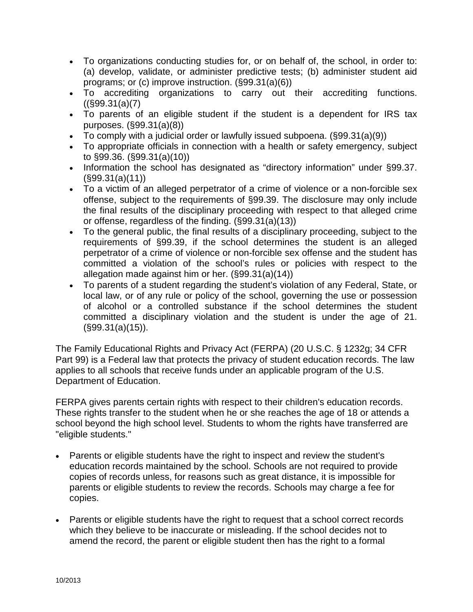- To organizations conducting studies for, or on behalf of, the school, in order to: (a) develop, validate, or administer predictive tests; (b) administer student aid programs; or (c) improve instruction. (§99.31(a)(6))
- To accrediting organizations to carry out their accrediting functions.  $((\S 99.31(a)(7))$
- To parents of an eligible student if the student is a dependent for IRS tax purposes. (§99.31(a)(8))
- To comply with a judicial order or lawfully issued subpoena. (§99.31(a)(9))
- To appropriate officials in connection with a health or safety emergency, subject to §99.36. (§99.31(a)(10))
- Information the school has designated as "directory information" under §99.37. (§99.31(a)(11))
- To a victim of an alleged perpetrator of a crime of violence or a non-forcible sex offense, subject to the requirements of §99.39. The disclosure may only include the final results of the disciplinary proceeding with respect to that alleged crime or offense, regardless of the finding. (§99.31(a)(13))
- To the general public, the final results of a disciplinary proceeding, subject to the requirements of §99.39, if the school determines the student is an alleged perpetrator of a crime of violence or non-forcible sex offense and the student has committed a violation of the school's rules or policies with respect to the allegation made against him or her. (§99.31(a)(14))
- To parents of a student regarding the student's violation of any Federal, State, or local law, or of any rule or policy of the school, governing the use or possession of alcohol or a controlled substance if the school determines the student committed a disciplinary violation and the student is under the age of 21. (§99.31(a)(15)).

The Family Educational Rights and Privacy Act (FERPA) (20 U.S.C. § 1232g; 34 CFR Part 99) is a Federal law that protects the privacy of student education records. The law applies to all schools that receive funds under an applicable program of the U.S. Department of Education.

FERPA gives parents certain rights with respect to their children's education records. These rights transfer to the student when he or she reaches the age of 18 or attends a school beyond the high school level. Students to whom the rights have transferred are "eligible students."

- Parents or eligible students have the right to inspect and review the student's education records maintained by the school. Schools are not required to provide copies of records unless, for reasons such as great distance, it is impossible for parents or eligible students to review the records. Schools may charge a fee for copies.
- Parents or eligible students have the right to request that a school correct records which they believe to be inaccurate or misleading. If the school decides not to amend the record, the parent or eligible student then has the right to a formal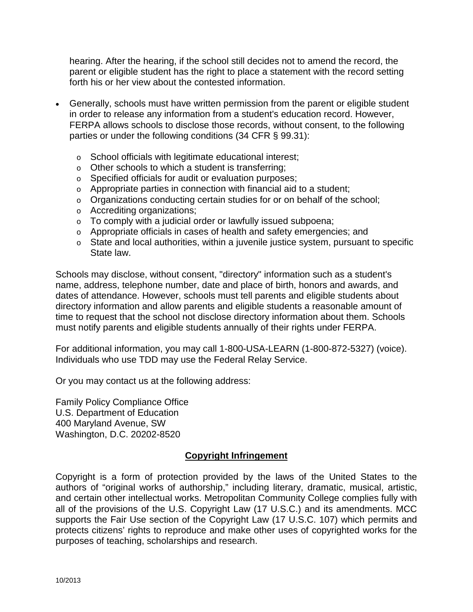hearing. After the hearing, if the school still decides not to amend the record, the parent or eligible student has the right to place a statement with the record setting forth his or her view about the contested information.

- Generally, schools must have written permission from the parent or eligible student in order to release any information from a student's education record. However, FERPA allows schools to disclose those records, without consent, to the following parties or under the following conditions (34 CFR § 99.31):
	- o School officials with legitimate educational interest;
	- o Other schools to which a student is transferring;
	- o Specified officials for audit or evaluation purposes;
	- o Appropriate parties in connection with financial aid to a student;
	- o Organizations conducting certain studies for or on behalf of the school;
	- o Accrediting organizations;
	- o To comply with a judicial order or lawfully issued subpoena;
	- o Appropriate officials in cases of health and safety emergencies; and
	- o State and local authorities, within a juvenile justice system, pursuant to specific State law.

Schools may disclose, without consent, "directory" information such as a student's name, address, telephone number, date and place of birth, honors and awards, and dates of attendance. However, schools must tell parents and eligible students about directory information and allow parents and eligible students a reasonable amount of time to request that the school not disclose directory information about them. Schools must notify parents and eligible students annually of their rights under FERPA.

For additional information, you may call 1-800-USA-LEARN (1-800-872-5327) (voice). Individuals who use TDD may use the Federal Relay Service.

Or you may contact us at the following address:

Family Policy Compliance Office U.S. Department of Education 400 Maryland Avenue, SW Washington, D.C. 20202-8520

### **Copyright Infringement**

Copyright is a form of protection provided by the laws of the United States to the authors of "original works of authorship," including literary, dramatic, musical, artistic, and certain other intellectual works. Metropolitan Community College complies fully with all of the provisions of the U.S. Copyright Law (17 U.S.C.) and its amendments. MCC supports the Fair Use section of the Copyright Law (17 U.S.C. 107) which permits and protects citizens' rights to reproduce and make other uses of copyrighted works for the purposes of teaching, scholarships and research.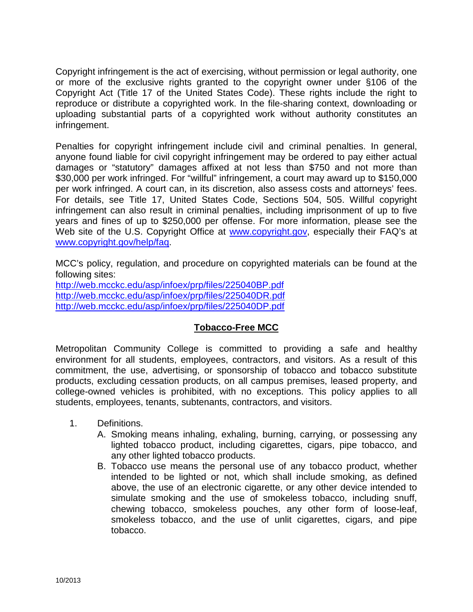Copyright infringement is the act of exercising, without permission or legal authority, one or more of the exclusive rights granted to the copyright owner under §106 of the Copyright Act (Title 17 of the United States Code). These rights include the right to reproduce or distribute a copyrighted work. In the file-sharing context, downloading or uploading substantial parts of a copyrighted work without authority constitutes an infringement.

Penalties for copyright infringement include civil and criminal penalties. In general, anyone found liable for civil copyright infringement may be ordered to pay either actual damages or "statutory" damages affixed at not less than \$750 and not more than \$30,000 per work infringed. For "willful" infringement, a court may award up to \$150,000 per work infringed. A court can, in its discretion, also assess costs and attorneys' fees. For details, see Title 17, United States Code, Sections 504, 505. Willful copyright infringement can also result in criminal penalties, including imprisonment of up to five years and fines of up to \$250,000 per offense. For more information, please see the Web site of the U.S. Copyright Office at [www.copyright.gov,](http://www.copyright.gov/) especially their FAQ's at [www.copyright.gov/help/faq.](http://www.copyright.gov/help/faq)

MCC's policy, regulation, and procedure on copyrighted materials can be found at the following sites:

<http://web.mcckc.edu/asp/infoex/prp/files/225040BP.pdf> <http://web.mcckc.edu/asp/infoex/prp/files/225040DR.pdf> <http://web.mcckc.edu/asp/infoex/prp/files/225040DP.pdf>

# **Tobacco-Free MCC**

Metropolitan Community College is committed to providing a safe and healthy environment for all students, employees, contractors, and visitors. As a result of this commitment, the use, advertising, or sponsorship of tobacco and tobacco substitute products, excluding cessation products, on all campus premises, leased property, and college-owned vehicles is prohibited, with no exceptions. This policy applies to all students, employees, tenants, subtenants, contractors, and visitors.

- 1. Definitions.
	- A. Smoking means inhaling, exhaling, burning, carrying, or possessing any lighted tobacco product, including cigarettes, cigars, pipe tobacco, and any other lighted tobacco products.
	- B. Tobacco use means the personal use of any tobacco product, whether intended to be lighted or not, which shall include smoking, as defined above, the use of an electronic cigarette, or any other device intended to simulate smoking and the use of smokeless tobacco, including snuff, chewing tobacco, smokeless pouches, any other form of loose-leaf, smokeless tobacco, and the use of unlit cigarettes, cigars, and pipe tobacco.